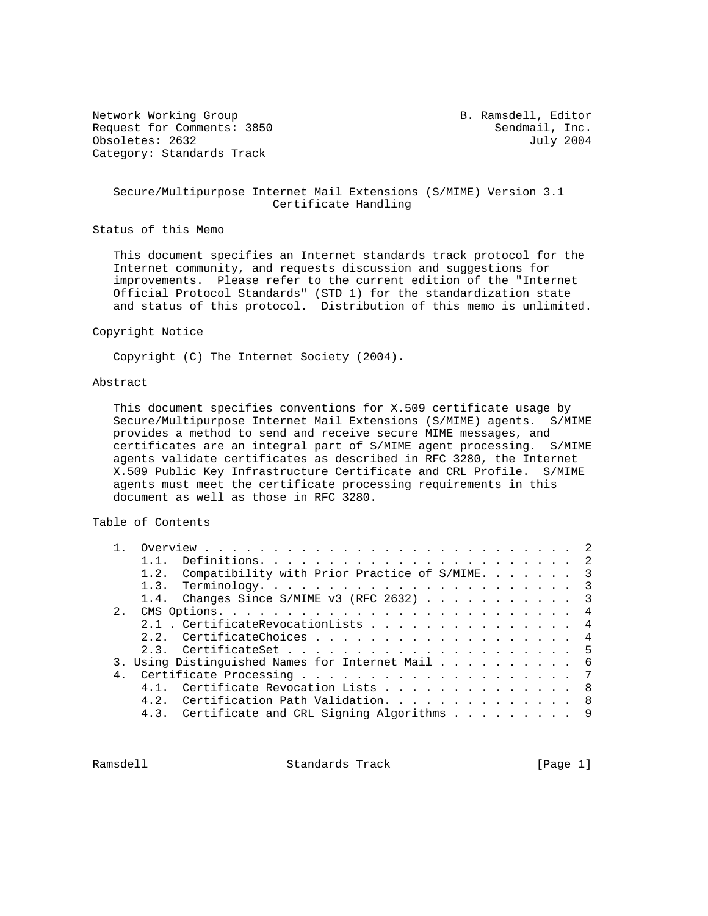Network Working Group **B. Ramsdell, Editor** Request for Comments: 3850 Sendmail, Inc.<br>
Obsoletes: 2632 July 2004 Obsoletes: 2632 Category: Standards Track

## Secure/Multipurpose Internet Mail Extensions (S/MIME) Version 3.1 Certificate Handling

Status of this Memo

 This document specifies an Internet standards track protocol for the Internet community, and requests discussion and suggestions for improvements. Please refer to the current edition of the "Internet Official Protocol Standards" (STD 1) for the standardization state and status of this protocol. Distribution of this memo is unlimited.

#### Copyright Notice

Copyright (C) The Internet Society (2004).

## Abstract

 This document specifies conventions for X.509 certificate usage by Secure/Multipurpose Internet Mail Extensions (S/MIME) agents. S/MIME provides a method to send and receive secure MIME messages, and certificates are an integral part of S/MIME agent processing. S/MIME agents validate certificates as described in RFC 3280, the Internet X.509 Public Key Infrastructure Certificate and CRL Profile. S/MIME agents must meet the certificate processing requirements in this document as well as those in RFC 3280.

# Table of Contents

|             | 1.2. Compatibility with Prior Practice of S/MIME. 3 |  |  |  |  |  |  |  |  |  |  |  |  |  |  |
|-------------|-----------------------------------------------------|--|--|--|--|--|--|--|--|--|--|--|--|--|--|
|             |                                                     |  |  |  |  |  |  |  |  |  |  |  |  |  |  |
|             | 1.4. Changes Since S/MIME v3 (RFC 2632) 3           |  |  |  |  |  |  |  |  |  |  |  |  |  |  |
| $2^{\circ}$ |                                                     |  |  |  |  |  |  |  |  |  |  |  |  |  |  |
|             | 2.1 . CertificateRevocationLists 4                  |  |  |  |  |  |  |  |  |  |  |  |  |  |  |
|             | 2.2. CertificateChoices 4                           |  |  |  |  |  |  |  |  |  |  |  |  |  |  |
|             |                                                     |  |  |  |  |  |  |  |  |  |  |  |  |  |  |
|             | 3. Using Distinguished Names for Internet Mail 6    |  |  |  |  |  |  |  |  |  |  |  |  |  |  |
|             |                                                     |  |  |  |  |  |  |  |  |  |  |  |  |  |  |
|             | 4.1. Certificate Revocation Lists 8                 |  |  |  |  |  |  |  |  |  |  |  |  |  |  |
|             | 4.2. Certification Path Validation. 8               |  |  |  |  |  |  |  |  |  |  |  |  |  |  |
|             | 4.3. Certificate and CRL Signing Algorithms 9       |  |  |  |  |  |  |  |  |  |  |  |  |  |  |
|             |                                                     |  |  |  |  |  |  |  |  |  |  |  |  |  |  |

Ramsdell **Standards Track** [Page 1]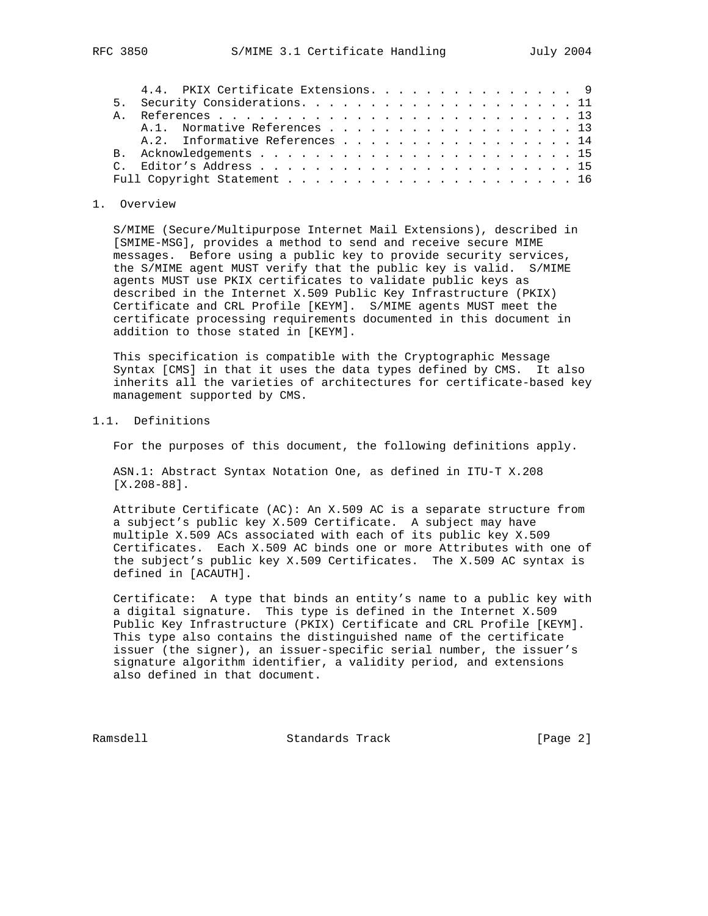| 4.4. PKIX Certificate Extensions. 9 |
|-------------------------------------|
|                                     |
|                                     |
| A.1. Normative References 13        |
| A.2. Informative References 14      |
|                                     |
|                                     |
|                                     |
|                                     |

#### 1. Overview

 S/MIME (Secure/Multipurpose Internet Mail Extensions), described in [SMIME-MSG], provides a method to send and receive secure MIME messages. Before using a public key to provide security services, the S/MIME agent MUST verify that the public key is valid. S/MIME agents MUST use PKIX certificates to validate public keys as described in the Internet X.509 Public Key Infrastructure (PKIX) Certificate and CRL Profile [KEYM]. S/MIME agents MUST meet the certificate processing requirements documented in this document in addition to those stated in [KEYM].

 This specification is compatible with the Cryptographic Message Syntax [CMS] in that it uses the data types defined by CMS. It also inherits all the varieties of architectures for certificate-based key management supported by CMS.

1.1. Definitions

For the purposes of this document, the following definitions apply.

 ASN.1: Abstract Syntax Notation One, as defined in ITU-T X.208 [X.208-88].

 Attribute Certificate (AC): An X.509 AC is a separate structure from a subject's public key X.509 Certificate. A subject may have multiple X.509 ACs associated with each of its public key X.509 Certificates. Each X.509 AC binds one or more Attributes with one of the subject's public key X.509 Certificates. The X.509 AC syntax is defined in [ACAUTH].

 Certificate: A type that binds an entity's name to a public key with a digital signature. This type is defined in the Internet X.509 Public Key Infrastructure (PKIX) Certificate and CRL Profile [KEYM]. This type also contains the distinguished name of the certificate issuer (the signer), an issuer-specific serial number, the issuer's signature algorithm identifier, a validity period, and extensions also defined in that document.

Ramsdell **Standards Track** [Page 2]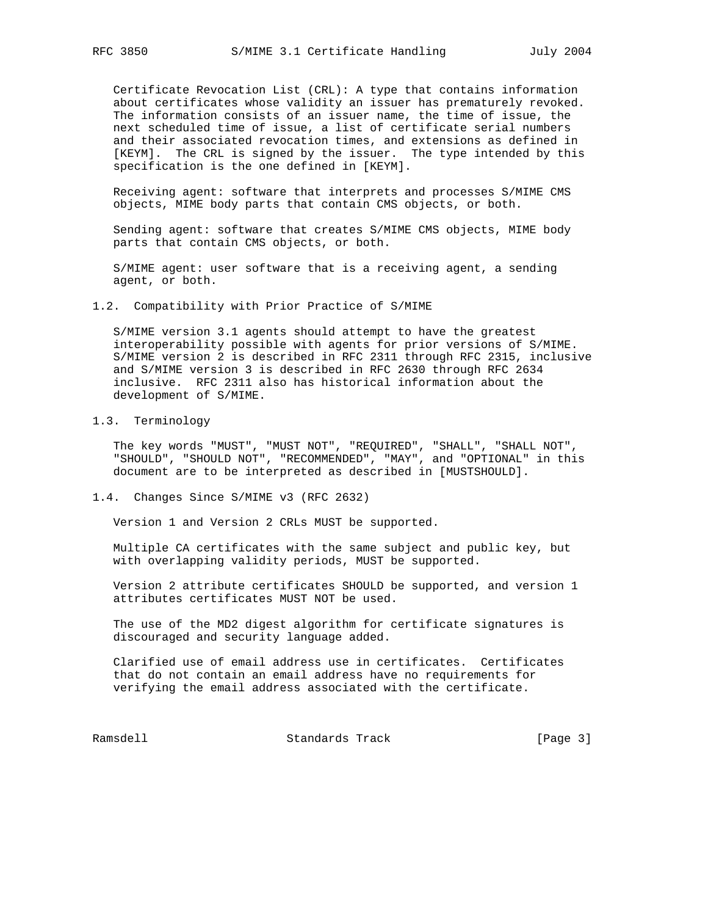Certificate Revocation List (CRL): A type that contains information about certificates whose validity an issuer has prematurely revoked. The information consists of an issuer name, the time of issue, the next scheduled time of issue, a list of certificate serial numbers and their associated revocation times, and extensions as defined in [KEYM]. The CRL is signed by the issuer. The type intended by this specification is the one defined in [KEYM].

 Receiving agent: software that interprets and processes S/MIME CMS objects, MIME body parts that contain CMS objects, or both.

 Sending agent: software that creates S/MIME CMS objects, MIME body parts that contain CMS objects, or both.

 S/MIME agent: user software that is a receiving agent, a sending agent, or both.

1.2. Compatibility with Prior Practice of S/MIME

 S/MIME version 3.1 agents should attempt to have the greatest interoperability possible with agents for prior versions of S/MIME. S/MIME version 2 is described in RFC 2311 through RFC 2315, inclusive and S/MIME version 3 is described in RFC 2630 through RFC 2634 inclusive. RFC 2311 also has historical information about the development of S/MIME.

# 1.3. Terminology

 The key words "MUST", "MUST NOT", "REQUIRED", "SHALL", "SHALL NOT", "SHOULD", "SHOULD NOT", "RECOMMENDED", "MAY", and "OPTIONAL" in this document are to be interpreted as described in [MUSTSHOULD].

1.4. Changes Since S/MIME v3 (RFC 2632)

Version 1 and Version 2 CRLs MUST be supported.

 Multiple CA certificates with the same subject and public key, but with overlapping validity periods, MUST be supported.

 Version 2 attribute certificates SHOULD be supported, and version 1 attributes certificates MUST NOT be used.

 The use of the MD2 digest algorithm for certificate signatures is discouraged and security language added.

 Clarified use of email address use in certificates. Certificates that do not contain an email address have no requirements for verifying the email address associated with the certificate.

Ramsdell Standards Track [Page 3]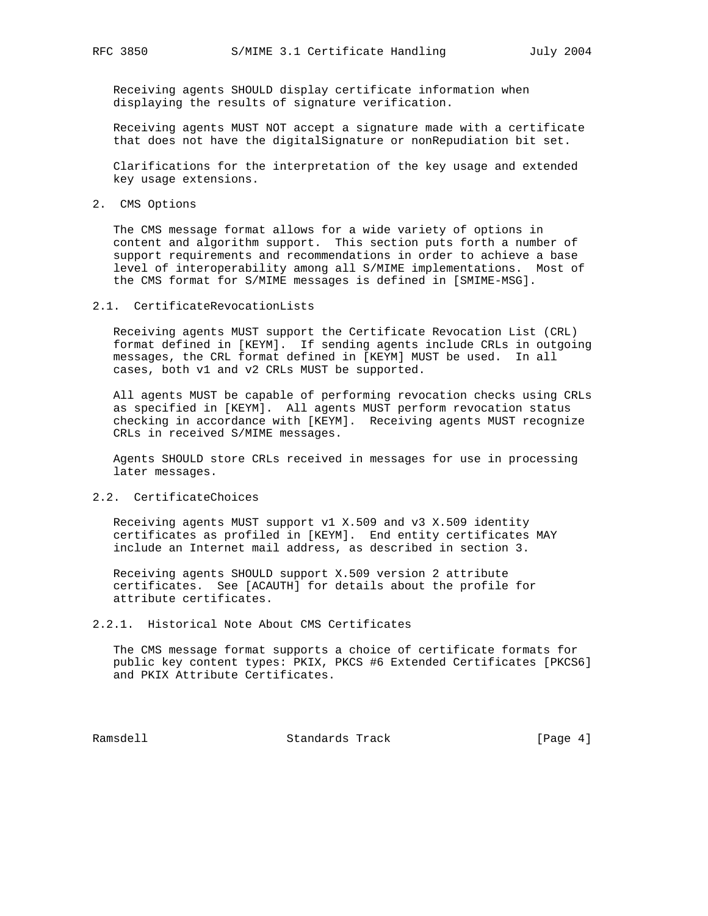Receiving agents SHOULD display certificate information when displaying the results of signature verification.

 Receiving agents MUST NOT accept a signature made with a certificate that does not have the digitalSignature or nonRepudiation bit set.

 Clarifications for the interpretation of the key usage and extended key usage extensions.

2. CMS Options

 The CMS message format allows for a wide variety of options in content and algorithm support. This section puts forth a number of support requirements and recommendations in order to achieve a base level of interoperability among all S/MIME implementations. Most of the CMS format for S/MIME messages is defined in [SMIME-MSG].

#### 2.1. CertificateRevocationLists

 Receiving agents MUST support the Certificate Revocation List (CRL) format defined in [KEYM]. If sending agents include CRLs in outgoing messages, the CRL format defined in [KEYM] MUST be used. In all cases, both v1 and v2 CRLs MUST be supported.

 All agents MUST be capable of performing revocation checks using CRLs as specified in [KEYM]. All agents MUST perform revocation status checking in accordance with [KEYM]. Receiving agents MUST recognize CRLs in received S/MIME messages.

 Agents SHOULD store CRLs received in messages for use in processing later messages.

## 2.2. CertificateChoices

 Receiving agents MUST support v1 X.509 and v3 X.509 identity certificates as profiled in [KEYM]. End entity certificates MAY include an Internet mail address, as described in section 3.

 Receiving agents SHOULD support X.509 version 2 attribute certificates. See [ACAUTH] for details about the profile for attribute certificates.

# 2.2.1. Historical Note About CMS Certificates

 The CMS message format supports a choice of certificate formats for public key content types: PKIX, PKCS #6 Extended Certificates [PKCS6] and PKIX Attribute Certificates.

Ramsdell Standards Track [Page 4]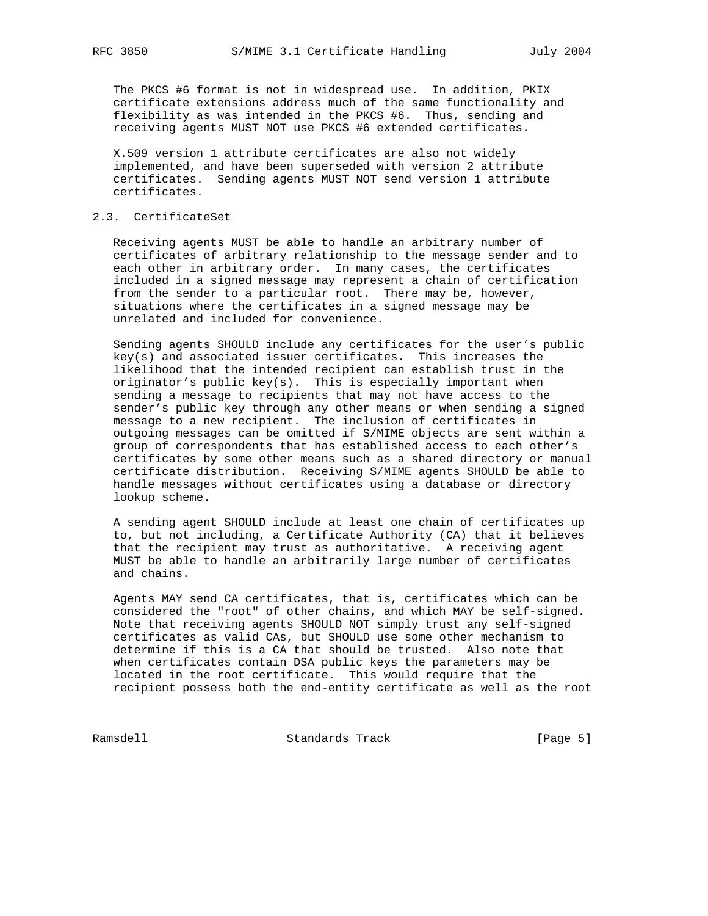The PKCS #6 format is not in widespread use. In addition, PKIX certificate extensions address much of the same functionality and flexibility as was intended in the PKCS #6. Thus, sending and receiving agents MUST NOT use PKCS #6 extended certificates.

 X.509 version 1 attribute certificates are also not widely implemented, and have been superseded with version 2 attribute certificates. Sending agents MUST NOT send version 1 attribute certificates.

# 2.3. CertificateSet

 Receiving agents MUST be able to handle an arbitrary number of certificates of arbitrary relationship to the message sender and to each other in arbitrary order. In many cases, the certificates included in a signed message may represent a chain of certification from the sender to a particular root. There may be, however, situations where the certificates in a signed message may be unrelated and included for convenience.

 Sending agents SHOULD include any certificates for the user's public key(s) and associated issuer certificates. This increases the likelihood that the intended recipient can establish trust in the originator's public key(s). This is especially important when sending a message to recipients that may not have access to the sender's public key through any other means or when sending a signed message to a new recipient. The inclusion of certificates in outgoing messages can be omitted if S/MIME objects are sent within a group of correspondents that has established access to each other's certificates by some other means such as a shared directory or manual certificate distribution. Receiving S/MIME agents SHOULD be able to handle messages without certificates using a database or directory lookup scheme.

 A sending agent SHOULD include at least one chain of certificates up to, but not including, a Certificate Authority (CA) that it believes that the recipient may trust as authoritative. A receiving agent MUST be able to handle an arbitrarily large number of certificates and chains.

 Agents MAY send CA certificates, that is, certificates which can be considered the "root" of other chains, and which MAY be self-signed. Note that receiving agents SHOULD NOT simply trust any self-signed certificates as valid CAs, but SHOULD use some other mechanism to determine if this is a CA that should be trusted. Also note that when certificates contain DSA public keys the parameters may be located in the root certificate. This would require that the recipient possess both the end-entity certificate as well as the root

Ramsdell Standards Track [Page 5]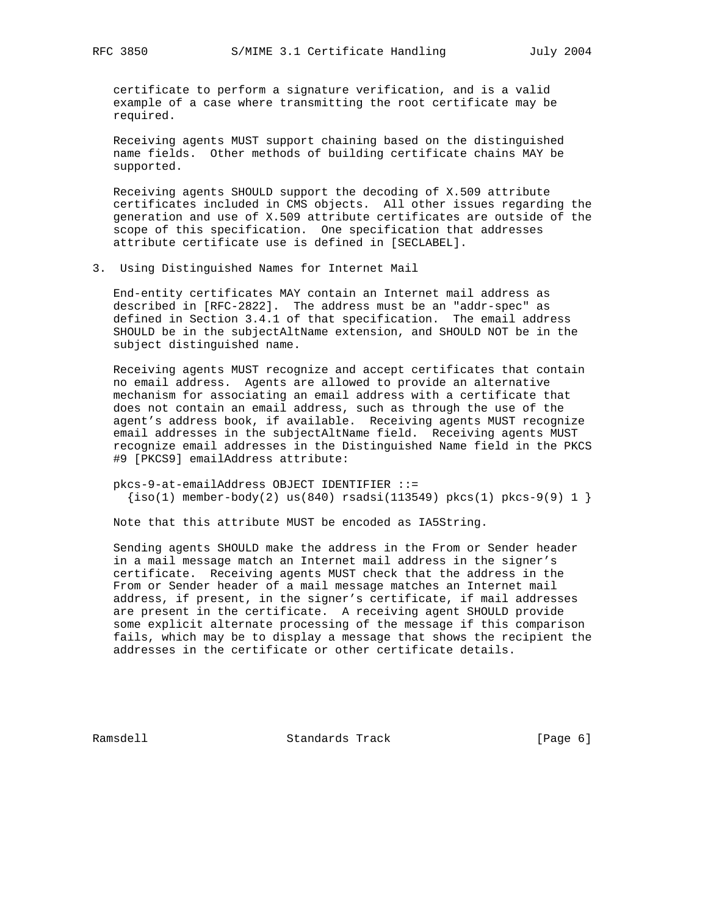certificate to perform a signature verification, and is a valid example of a case where transmitting the root certificate may be required.

 Receiving agents MUST support chaining based on the distinguished name fields. Other methods of building certificate chains MAY be supported.

 Receiving agents SHOULD support the decoding of X.509 attribute certificates included in CMS objects. All other issues regarding the generation and use of X.509 attribute certificates are outside of the scope of this specification. One specification that addresses attribute certificate use is defined in [SECLABEL].

3. Using Distinguished Names for Internet Mail

 End-entity certificates MAY contain an Internet mail address as described in [RFC-2822]. The address must be an "addr-spec" as defined in Section 3.4.1 of that specification. The email address SHOULD be in the subjectAltName extension, and SHOULD NOT be in the subject distinguished name.

 Receiving agents MUST recognize and accept certificates that contain no email address. Agents are allowed to provide an alternative mechanism for associating an email address with a certificate that does not contain an email address, such as through the use of the agent's address book, if available. Receiving agents MUST recognize email addresses in the subjectAltName field. Receiving agents MUST recognize email addresses in the Distinguished Name field in the PKCS #9 [PKCS9] emailAddress attribute:

 pkcs-9-at-emailAddress OBJECT IDENTIFIER ::=  $\{iso(1)$  member-body(2) us(840) rsadsi(113549) pkcs(1) pkcs-9(9) 1 }

Note that this attribute MUST be encoded as IA5String.

 Sending agents SHOULD make the address in the From or Sender header in a mail message match an Internet mail address in the signer's certificate. Receiving agents MUST check that the address in the From or Sender header of a mail message matches an Internet mail address, if present, in the signer's certificate, if mail addresses are present in the certificate. A receiving agent SHOULD provide some explicit alternate processing of the message if this comparison fails, which may be to display a message that shows the recipient the addresses in the certificate or other certificate details.

Ramsdell Standards Track [Page 6]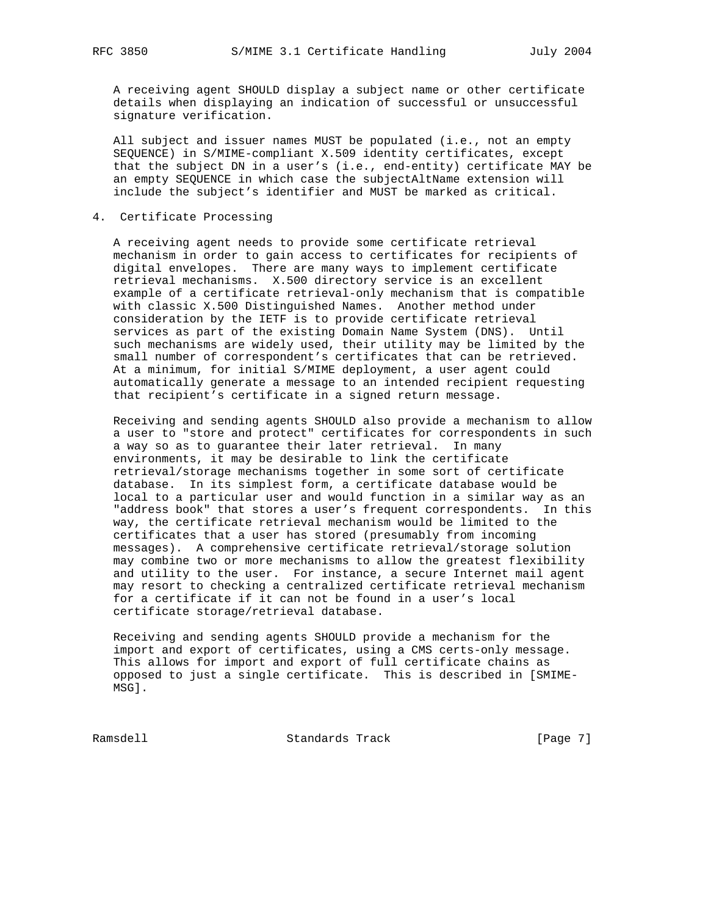A receiving agent SHOULD display a subject name or other certificate details when displaying an indication of successful or unsuccessful signature verification.

 All subject and issuer names MUST be populated (i.e., not an empty SEQUENCE) in S/MIME-compliant X.509 identity certificates, except that the subject DN in a user's (i.e., end-entity) certificate MAY be an empty SEQUENCE in which case the subjectAltName extension will include the subject's identifier and MUST be marked as critical.

4. Certificate Processing

 A receiving agent needs to provide some certificate retrieval mechanism in order to gain access to certificates for recipients of digital envelopes. There are many ways to implement certificate retrieval mechanisms. X.500 directory service is an excellent example of a certificate retrieval-only mechanism that is compatible with classic X.500 Distinguished Names. Another method under consideration by the IETF is to provide certificate retrieval services as part of the existing Domain Name System (DNS). Until such mechanisms are widely used, their utility may be limited by the small number of correspondent's certificates that can be retrieved. At a minimum, for initial S/MIME deployment, a user agent could automatically generate a message to an intended recipient requesting that recipient's certificate in a signed return message.

 Receiving and sending agents SHOULD also provide a mechanism to allow a user to "store and protect" certificates for correspondents in such a way so as to guarantee their later retrieval. In many environments, it may be desirable to link the certificate retrieval/storage mechanisms together in some sort of certificate database. In its simplest form, a certificate database would be local to a particular user and would function in a similar way as an "address book" that stores a user's frequent correspondents. In this way, the certificate retrieval mechanism would be limited to the certificates that a user has stored (presumably from incoming messages). A comprehensive certificate retrieval/storage solution may combine two or more mechanisms to allow the greatest flexibility and utility to the user. For instance, a secure Internet mail agent may resort to checking a centralized certificate retrieval mechanism for a certificate if it can not be found in a user's local certificate storage/retrieval database.

 Receiving and sending agents SHOULD provide a mechanism for the import and export of certificates, using a CMS certs-only message. This allows for import and export of full certificate chains as opposed to just a single certificate. This is described in [SMIME- MSG].

Ramsdell **Standards Track** [Page 7]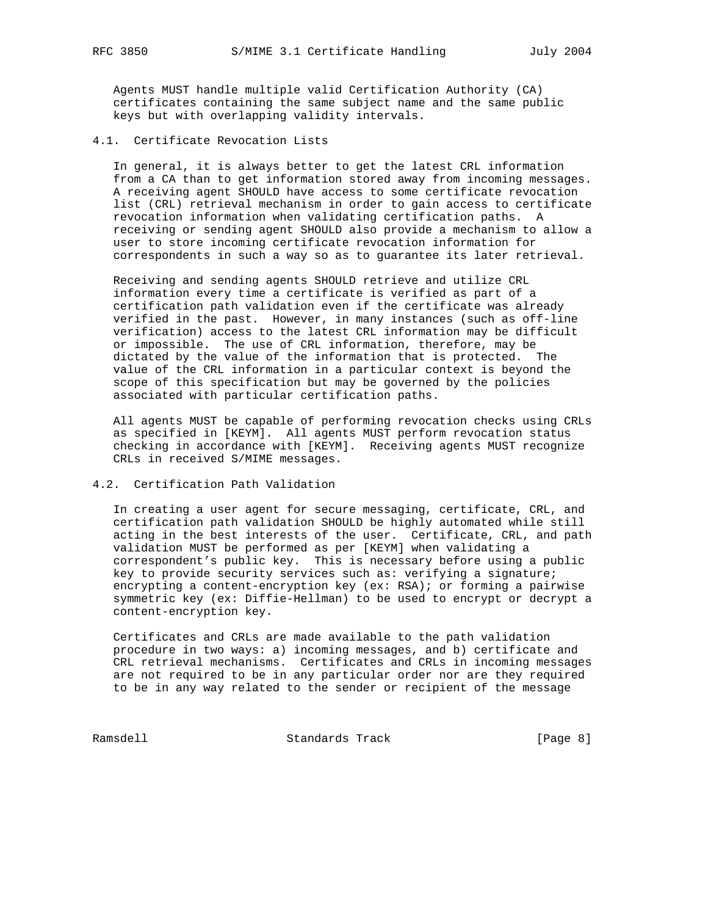Agents MUST handle multiple valid Certification Authority (CA) certificates containing the same subject name and the same public keys but with overlapping validity intervals.

## 4.1. Certificate Revocation Lists

 In general, it is always better to get the latest CRL information from a CA than to get information stored away from incoming messages. A receiving agent SHOULD have access to some certificate revocation list (CRL) retrieval mechanism in order to gain access to certificate revocation information when validating certification paths. A receiving or sending agent SHOULD also provide a mechanism to allow a user to store incoming certificate revocation information for correspondents in such a way so as to guarantee its later retrieval.

 Receiving and sending agents SHOULD retrieve and utilize CRL information every time a certificate is verified as part of a certification path validation even if the certificate was already verified in the past. However, in many instances (such as off-line verification) access to the latest CRL information may be difficult or impossible. The use of CRL information, therefore, may be dictated by the value of the information that is protected. The value of the CRL information in a particular context is beyond the scope of this specification but may be governed by the policies associated with particular certification paths.

 All agents MUST be capable of performing revocation checks using CRLs as specified in [KEYM]. All agents MUST perform revocation status checking in accordance with [KEYM]. Receiving agents MUST recognize CRLs in received S/MIME messages.

## 4.2. Certification Path Validation

 In creating a user agent for secure messaging, certificate, CRL, and certification path validation SHOULD be highly automated while still acting in the best interests of the user. Certificate, CRL, and path validation MUST be performed as per [KEYM] when validating a correspondent's public key. This is necessary before using a public key to provide security services such as: verifying a signature; encrypting a content-encryption key (ex: RSA); or forming a pairwise symmetric key (ex: Diffie-Hellman) to be used to encrypt or decrypt a content-encryption key.

 Certificates and CRLs are made available to the path validation procedure in two ways: a) incoming messages, and b) certificate and CRL retrieval mechanisms. Certificates and CRLs in incoming messages are not required to be in any particular order nor are they required to be in any way related to the sender or recipient of the message

Ramsdell Standards Track [Page 8]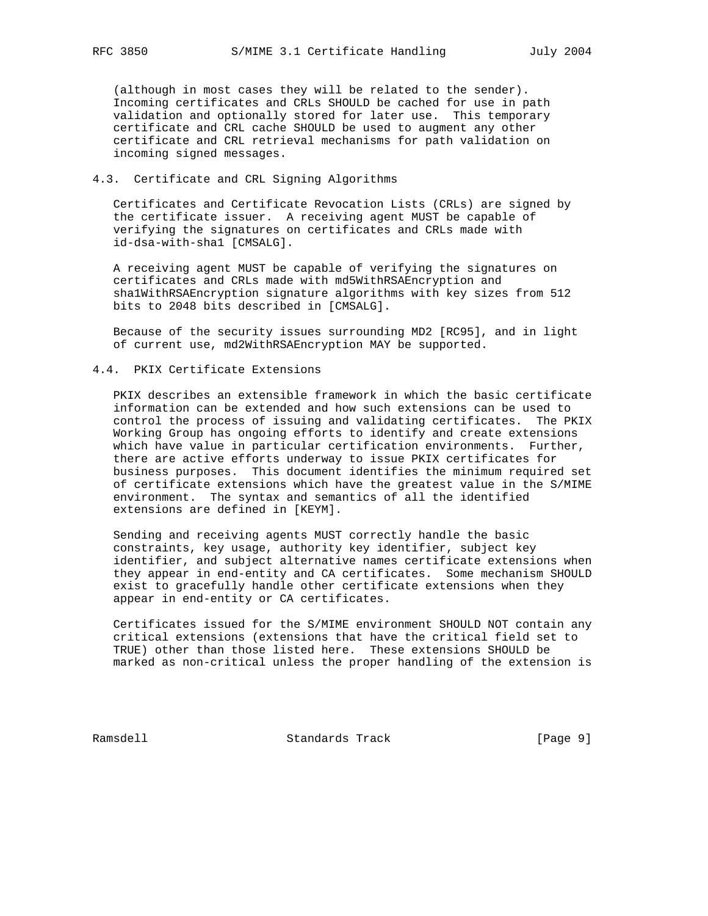(although in most cases they will be related to the sender). Incoming certificates and CRLs SHOULD be cached for use in path validation and optionally stored for later use. This temporary certificate and CRL cache SHOULD be used to augment any other certificate and CRL retrieval mechanisms for path validation on incoming signed messages.

## 4.3. Certificate and CRL Signing Algorithms

 Certificates and Certificate Revocation Lists (CRLs) are signed by the certificate issuer. A receiving agent MUST be capable of verifying the signatures on certificates and CRLs made with id-dsa-with-sha1 [CMSALG].

 A receiving agent MUST be capable of verifying the signatures on certificates and CRLs made with md5WithRSAEncryption and sha1WithRSAEncryption signature algorithms with key sizes from 512 bits to 2048 bits described in [CMSALG].

 Because of the security issues surrounding MD2 [RC95], and in light of current use, md2WithRSAEncryption MAY be supported.

## 4.4. PKIX Certificate Extensions

 PKIX describes an extensible framework in which the basic certificate information can be extended and how such extensions can be used to control the process of issuing and validating certificates. The PKIX Working Group has ongoing efforts to identify and create extensions which have value in particular certification environments. Further, there are active efforts underway to issue PKIX certificates for business purposes. This document identifies the minimum required set of certificate extensions which have the greatest value in the S/MIME environment. The syntax and semantics of all the identified extensions are defined in [KEYM].

 Sending and receiving agents MUST correctly handle the basic constraints, key usage, authority key identifier, subject key identifier, and subject alternative names certificate extensions when they appear in end-entity and CA certificates. Some mechanism SHOULD exist to gracefully handle other certificate extensions when they appear in end-entity or CA certificates.

 Certificates issued for the S/MIME environment SHOULD NOT contain any critical extensions (extensions that have the critical field set to TRUE) other than those listed here. These extensions SHOULD be marked as non-critical unless the proper handling of the extension is

Ramsdell **Standards Track** [Page 9]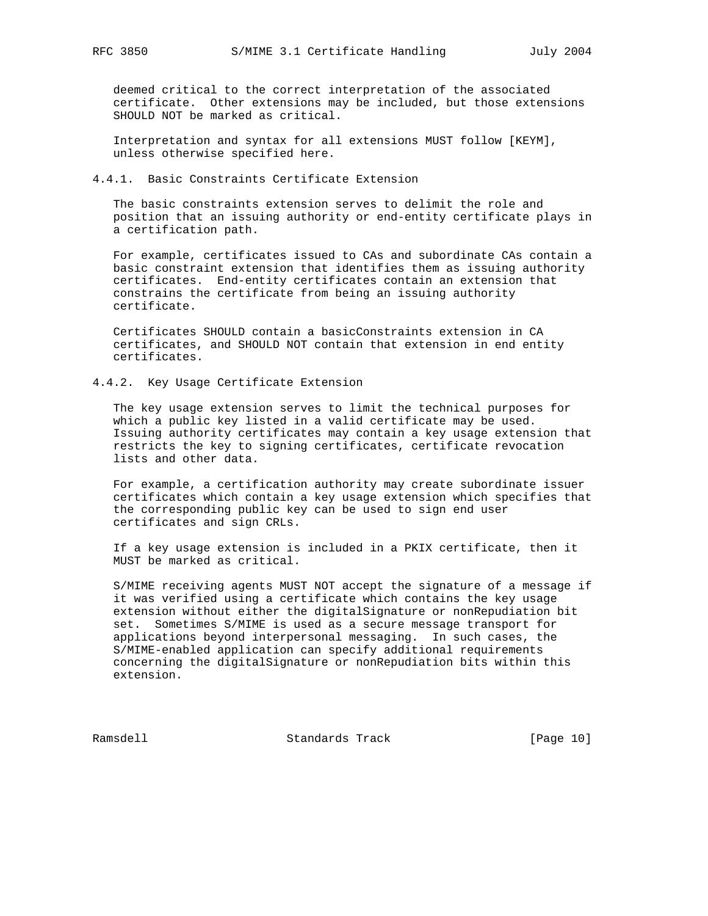deemed critical to the correct interpretation of the associated certificate. Other extensions may be included, but those extensions SHOULD NOT be marked as critical.

 Interpretation and syntax for all extensions MUST follow [KEYM], unless otherwise specified here.

## 4.4.1. Basic Constraints Certificate Extension

 The basic constraints extension serves to delimit the role and position that an issuing authority or end-entity certificate plays in a certification path.

 For example, certificates issued to CAs and subordinate CAs contain a basic constraint extension that identifies them as issuing authority certificates. End-entity certificates contain an extension that constrains the certificate from being an issuing authority certificate.

 Certificates SHOULD contain a basicConstraints extension in CA certificates, and SHOULD NOT contain that extension in end entity certificates.

## 4.4.2. Key Usage Certificate Extension

 The key usage extension serves to limit the technical purposes for which a public key listed in a valid certificate may be used. Issuing authority certificates may contain a key usage extension that restricts the key to signing certificates, certificate revocation lists and other data.

 For example, a certification authority may create subordinate issuer certificates which contain a key usage extension which specifies that the corresponding public key can be used to sign end user certificates and sign CRLs.

 If a key usage extension is included in a PKIX certificate, then it MUST be marked as critical.

 S/MIME receiving agents MUST NOT accept the signature of a message if it was verified using a certificate which contains the key usage extension without either the digitalSignature or nonRepudiation bit set. Sometimes S/MIME is used as a secure message transport for applications beyond interpersonal messaging. In such cases, the S/MIME-enabled application can specify additional requirements concerning the digitalSignature or nonRepudiation bits within this extension.

Ramsdell Standards Track [Page 10]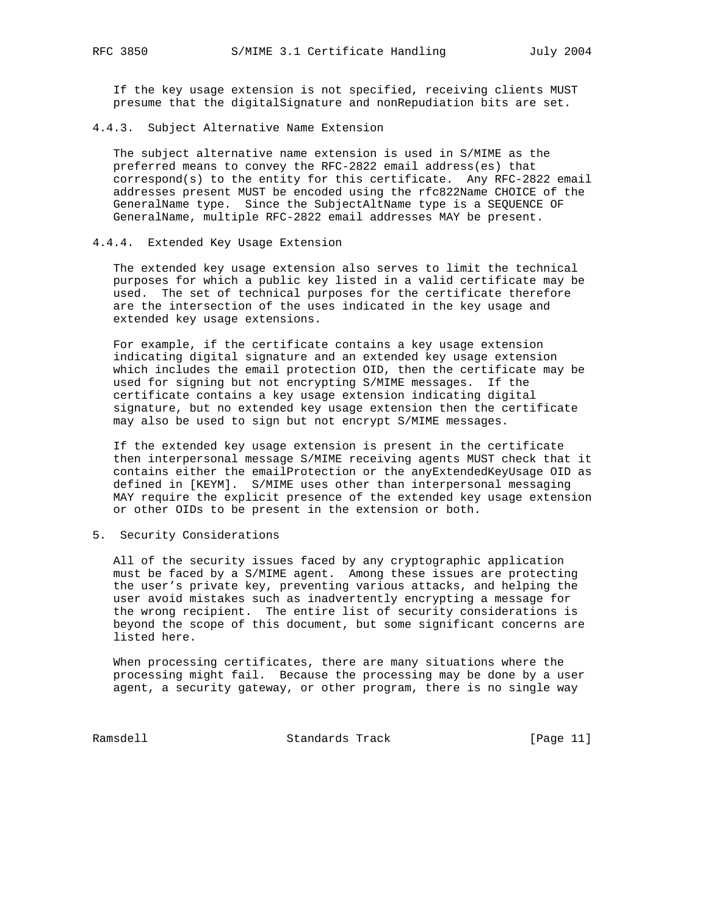If the key usage extension is not specified, receiving clients MUST presume that the digitalSignature and nonRepudiation bits are set.

4.4.3. Subject Alternative Name Extension

 The subject alternative name extension is used in S/MIME as the preferred means to convey the RFC-2822 email address(es) that  $correspond(s)$  to the entity for this certificate. Any RFC-2822 email addresses present MUST be encoded using the rfc822Name CHOICE of the GeneralName type. Since the SubjectAltName type is a SEQUENCE OF GeneralName, multiple RFC-2822 email addresses MAY be present.

#### 4.4.4. Extended Key Usage Extension

 The extended key usage extension also serves to limit the technical purposes for which a public key listed in a valid certificate may be used. The set of technical purposes for the certificate therefore are the intersection of the uses indicated in the key usage and extended key usage extensions.

 For example, if the certificate contains a key usage extension indicating digital signature and an extended key usage extension which includes the email protection OID, then the certificate may be used for signing but not encrypting S/MIME messages. If the certificate contains a key usage extension indicating digital signature, but no extended key usage extension then the certificate may also be used to sign but not encrypt S/MIME messages.

 If the extended key usage extension is present in the certificate then interpersonal message S/MIME receiving agents MUST check that it contains either the emailProtection or the anyExtendedKeyUsage OID as defined in [KEYM]. S/MIME uses other than interpersonal messaging MAY require the explicit presence of the extended key usage extension or other OIDs to be present in the extension or both.

5. Security Considerations

 All of the security issues faced by any cryptographic application must be faced by a S/MIME agent. Among these issues are protecting the user's private key, preventing various attacks, and helping the user avoid mistakes such as inadvertently encrypting a message for the wrong recipient. The entire list of security considerations is beyond the scope of this document, but some significant concerns are listed here.

 When processing certificates, there are many situations where the processing might fail. Because the processing may be done by a user agent, a security gateway, or other program, there is no single way

Ramsdell Standards Track [Page 11]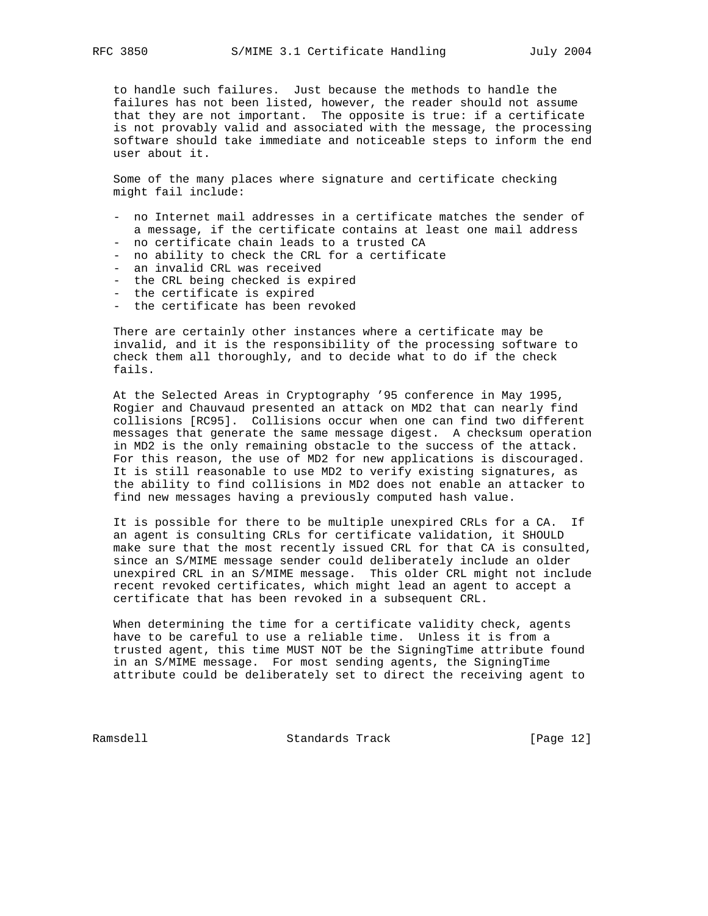to handle such failures. Just because the methods to handle the failures has not been listed, however, the reader should not assume that they are not important. The opposite is true: if a certificate is not provably valid and associated with the message, the processing software should take immediate and noticeable steps to inform the end user about it.

 Some of the many places where signature and certificate checking might fail include:

- no Internet mail addresses in a certificate matches the sender of a message, if the certificate contains at least one mail address
- no certificate chain leads to a trusted CA
- no ability to check the CRL for a certificate
- an invalid CRL was received
- the CRL being checked is expired
- the certificate is expired
- the certificate has been revoked

 There are certainly other instances where a certificate may be invalid, and it is the responsibility of the processing software to check them all thoroughly, and to decide what to do if the check fails.

 At the Selected Areas in Cryptography '95 conference in May 1995, Rogier and Chauvaud presented an attack on MD2 that can nearly find collisions [RC95]. Collisions occur when one can find two different messages that generate the same message digest. A checksum operation in MD2 is the only remaining obstacle to the success of the attack. For this reason, the use of MD2 for new applications is discouraged. It is still reasonable to use MD2 to verify existing signatures, as the ability to find collisions in MD2 does not enable an attacker to find new messages having a previously computed hash value.

 It is possible for there to be multiple unexpired CRLs for a CA. If an agent is consulting CRLs for certificate validation, it SHOULD make sure that the most recently issued CRL for that CA is consulted, since an S/MIME message sender could deliberately include an older unexpired CRL in an S/MIME message. This older CRL might not include recent revoked certificates, which might lead an agent to accept a certificate that has been revoked in a subsequent CRL.

 When determining the time for a certificate validity check, agents have to be careful to use a reliable time. Unless it is from a trusted agent, this time MUST NOT be the SigningTime attribute found in an S/MIME message. For most sending agents, the SigningTime attribute could be deliberately set to direct the receiving agent to

Ramsdell Standards Track [Page 12]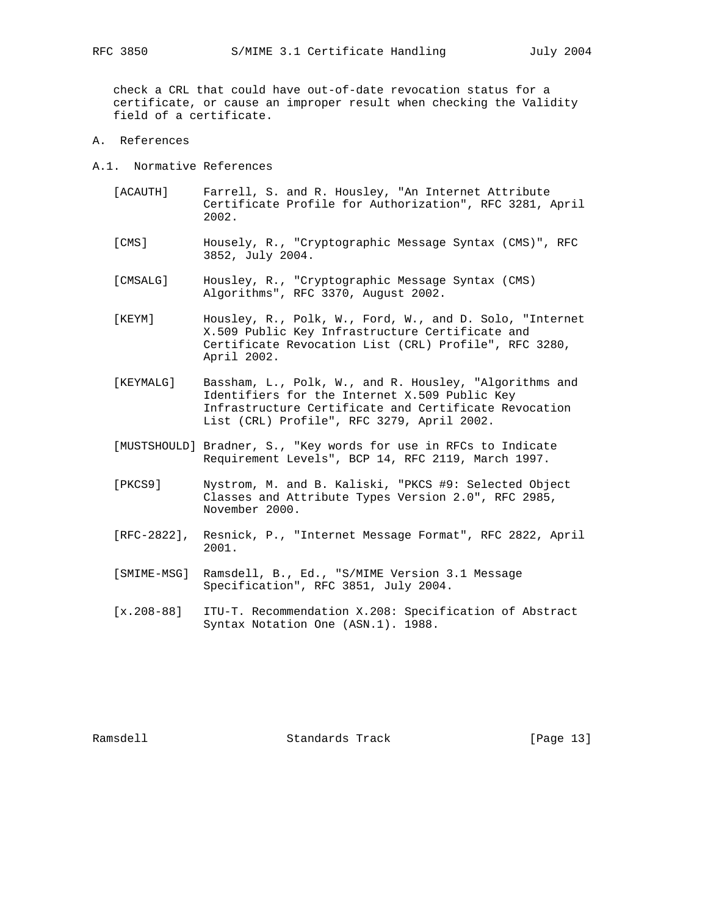check a CRL that could have out-of-date revocation status for a certificate, or cause an improper result when checking the Validity field of a certificate.

- A. References
- A.1. Normative References
	- [ACAUTH] Farrell, S. and R. Housley, "An Internet Attribute Certificate Profile for Authorization", RFC 3281, April 2002.
	- [CMS] Housely, R., "Cryptographic Message Syntax (CMS)", RFC 3852, July 2004.
	- [CMSALG] Housley, R., "Cryptographic Message Syntax (CMS) Algorithms", RFC 3370, August 2002.
	- [KEYM] Housley, R., Polk, W., Ford, W., and D. Solo, "Internet X.509 Public Key Infrastructure Certificate and Certificate Revocation List (CRL) Profile", RFC 3280, April 2002.
	- [KEYMALG] Bassham, L., Polk, W., and R. Housley, "Algorithms and Identifiers for the Internet X.509 Public Key Infrastructure Certificate and Certificate Revocation List (CRL) Profile", RFC 3279, April 2002.
	- [MUSTSHOULD] Bradner, S., "Key words for use in RFCs to Indicate Requirement Levels", BCP 14, RFC 2119, March 1997.
	- [PKCS9] Nystrom, M. and B. Kaliski, "PKCS #9: Selected Object Classes and Attribute Types Version 2.0", RFC 2985, November 2000.
	- [RFC-2822], Resnick, P., "Internet Message Format", RFC 2822, April 2001.
	- [SMIME-MSG] Ramsdell, B., Ed., "S/MIME Version 3.1 Message Specification", RFC 3851, July 2004.
	- [x.208-88] ITU-T. Recommendation X.208: Specification of Abstract Syntax Notation One (ASN.1). 1988.

Ramsdell **Standards Track** [Page 13]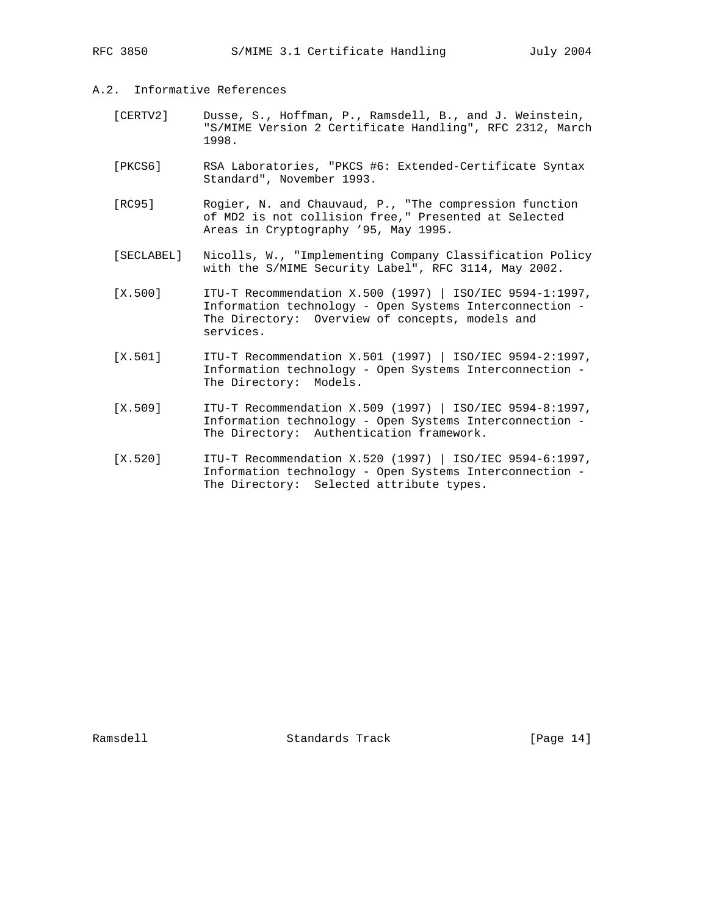- A.2. Informative References
	- [CERTV2] Dusse, S., Hoffman, P., Ramsdell, B., and J. Weinstein, "S/MIME Version 2 Certificate Handling", RFC 2312, March 1998.
	- [PKCS6] RSA Laboratories, "PKCS #6: Extended-Certificate Syntax Standard", November 1993.
	- [RC95] Rogier, N. and Chauvaud, P., "The compression function of MD2 is not collision free," Presented at Selected Areas in Cryptography '95, May 1995.
	- [SECLABEL] Nicolls, W., "Implementing Company Classification Policy with the S/MIME Security Label", RFC 3114, May 2002.
	- [X.500] ITU-T Recommendation X.500 (1997) | ISO/IEC 9594-1:1997, Information technology - Open Systems Interconnection - The Directory: Overview of concepts, models and services.
	- [X.501] ITU-T Recommendation X.501 (1997) | ISO/IEC 9594-2:1997, Information technology - Open Systems Interconnection - The Directory: Models.
	- [X.509] ITU-T Recommendation X.509 (1997) | ISO/IEC 9594-8:1997, Information technology - Open Systems Interconnection - The Directory: Authentication framework.
	- [X.520] ITU-T Recommendation X.520 (1997) | ISO/IEC 9594-6:1997, Information technology - Open Systems Interconnection - The Directory: Selected attribute types.

Ramsdell Standards Track [Page 14]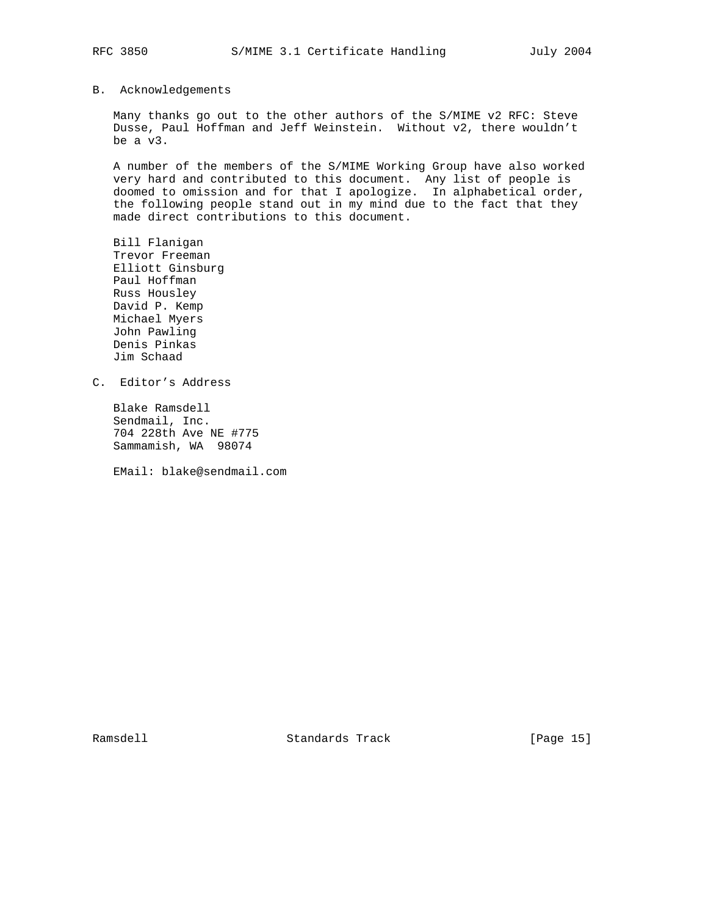## B. Acknowledgements

 Many thanks go out to the other authors of the S/MIME v2 RFC: Steve Dusse, Paul Hoffman and Jeff Weinstein. Without v2, there wouldn't be a v3.

 A number of the members of the S/MIME Working Group have also worked very hard and contributed to this document. Any list of people is doomed to omission and for that I apologize. In alphabetical order, the following people stand out in my mind due to the fact that they made direct contributions to this document.

 Bill Flanigan Trevor Freeman Elliott Ginsburg Paul Hoffman Russ Housley David P. Kemp Michael Myers John Pawling Denis Pinkas Jim Schaad

C. Editor's Address

 Blake Ramsdell Sendmail, Inc. 704 228th Ave NE #775 Sammamish, WA 98074

EMail: blake@sendmail.com

Ramsdell Standards Track [Page 15]